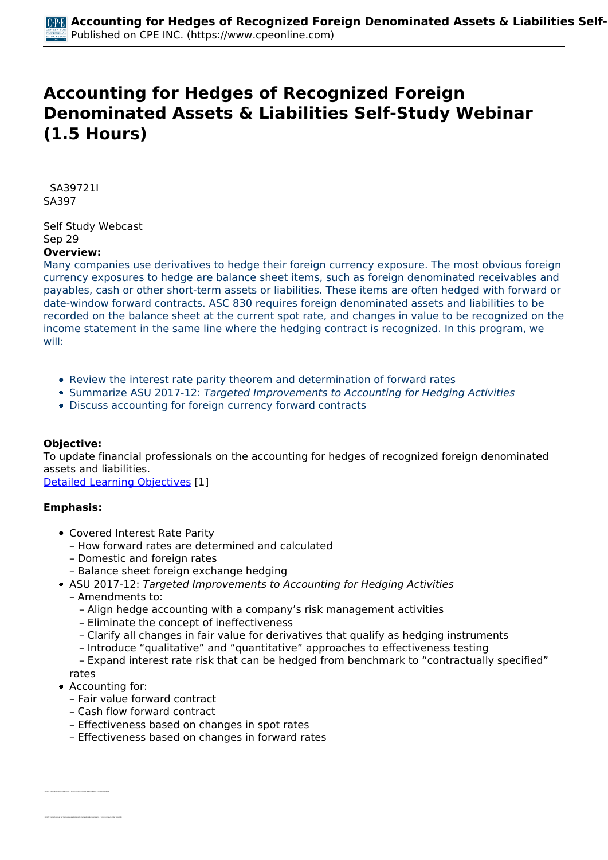# **Accounting for Hedges of Recognized Foreign Denominated Assets & Liabilities Self-Study Webinar (1.5 Hours)**

 *SA39721I SA397* 

*Self Study Webcast Sep 29*  **Overview:** 

*Many companies use derivatives to hedge their foreign currency exposure. The most obvious foreign currency exposures to hedge are balance sheet items, such as foreign denominated receivables and payables, cash or other short-term assets or liabilities. These items are often hedged with forward or date-window forward contracts. ASC 830 requires foreign denominated assets and liabilities to be recorded on the balance sheet at the current spot rate, and changes in value to be recognized on the income statement in the same line where the hedging contract is recognized. In this program, we will:*

- *Review the interest rate parity theorem and determination of forward rates*
- *Summarize ASU 2017-12: Targeted Improvements to Accounting for Hedging Activities*
- *Discuss accounting for foreign currency forward contracts*

## **Objective:**

*To update financial professionals on the accounting for hedges of recognized foreign denominated assets and liabilities.*

*[Detailed Learning Objectives](https://www.cpeonline.com/JavaScript:showObjectivesPopup();) [1]*

### **Emphasis:**

- *Covered Interest Rate Parity*
	- *How forward rates are determined and calculated*
	- *Domestic and foreign rates*
	- *Balance sheet foreign exchange hedging*
- *ASU 2017-12: Targeted Improvements to Accounting for Hedging Activities*
- *Amendments to:*
	- *Align hedge accounting with a company's risk management activities*
	- *Eliminate the concept of ineffectiveness*
	- *Clarify all changes in fair value for derivatives that qualify as hedging instruments*
	- *Introduce "qualitative" and "quantitative" approaches to effectiveness testing*

 *– Expand interest rate risk that can be hedged from benchmark to "contractually specified" rates*

- *Accounting for:*
	- *Fair value forward contract*
	- *Cash flow forward contract*
	- *Effectiveness based on changes in spot rates*
	- *Effectiveness based on changes in forward rates*